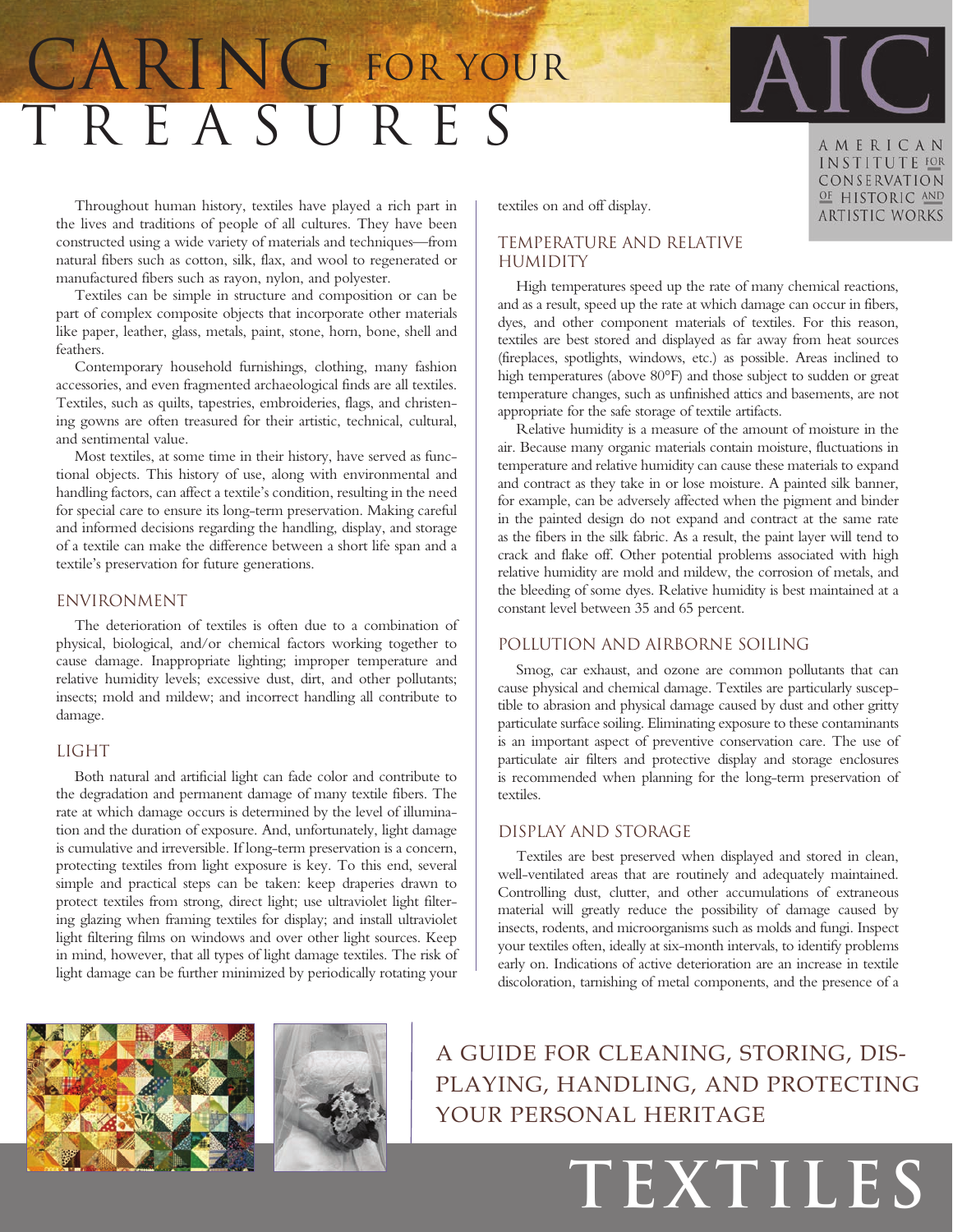# T r e a s u r e s CARING FOR YOUR



AMERICAN INSTITUTE FOR CONSERVATION OF HISTORIC AND **ARTISTIC WORKS** 

Throughout human history, textiles have played a rich part in the lives and traditions of people of all cultures. They have been constructed using a wide variety of materials and techniques—from natural fibers such as cotton, silk, flax, and wool to regenerated or manufactured fibers such as rayon, nylon, and polyester.

Textiles can be simple in structure and composition or can be part of complex composite objects that incorporate other materials like paper, leather, glass, metals, paint, stone, horn, bone, shell and feathers.

Contemporary household furnishings, clothing, many fashion accessories, and even fragmented archaeological finds are all textiles. Textiles, such as quilts, tapestries, embroideries, flags, and christening gowns are often treasured for their artistic, technical, cultural, and sentimental value.

Most textiles, at some time in their history, have served as functional objects. This history of use, along with environmental and handling factors, can affect a textile's condition, resulting in the need for special care to ensure its long-term preservation. Making careful and informed decisions regarding the handling, display, and storage of a textile can make the difference between a short life span and a textile's preservation for future generations.

#### Environment

The deterioration of textiles is often due to a combination of physical, biological, and/or chemical factors working together to cause damage. Inappropriate lighting; improper temperature and relative humidity levels; excessive dust, dirt, and other pollutants; insects; mold and mildew; and incorrect handling all contribute to damage.

#### **LIGHT**

Both natural and artificial light can fade color and contribute to the degradation and permanent damage of many textile fibers. The rate at which damage occurs is determined by the level of illumination and the duration of exposure. And, unfortunately, light damage is cumulative and irreversible. If long-term preservation is a concern, protecting textiles from light exposure is key. To this end, several simple and practical steps can be taken: keep draperies drawn to protect textiles from strong, direct light; use ultraviolet light filtering glazing when framing textiles for display; and install ultraviolet light filtering films on windows and over other light sources. Keep in mind, however, that all types of light damage textiles. The risk of light damage can be further minimized by periodically rotating your

textiles on and off display.

# Temperature and Relative **HUMIDITY**

High temperatures speed up the rate of many chemical reactions, and as a result, speed up the rate at which damage can occur in fibers, dyes, and other component materials of textiles. For this reason, textiles are best stored and displayed as far away from heat sources (fireplaces, spotlights, windows, etc.) as possible. Areas inclined to high temperatures (above 80°F) and those subject to sudden or great temperature changes, such as unfinished attics and basements, are not appropriate for the safe storage of textile artifacts.

Relative humidity is a measure of the amount of moisture in the air. Because many organic materials contain moisture, fluctuations in temperature and relative humidity can cause these materials to expand and contract as they take in or lose moisture. A painted silk banner, for example, can be adversely affected when the pigment and binder in the painted design do not expand and contract at the same rate as the fibers in the silk fabric. As a result, the paint layer will tend to crack and flake off. Other potential problems associated with high relative humidity are mold and mildew, the corrosion of metals, and the bleeding of some dyes. Relative humidity is best maintained at a constant level between 35 and 65 percent.

### Pollution and Airborne Soiling

Smog, car exhaust, and ozone are common pollutants that can cause physical and chemical damage. Textiles are particularly susceptible to abrasion and physical damage caused by dust and other gritty particulate surface soiling. Eliminating exposure to these contaminants is an important aspect of preventive conservation care. The use of particulate air filters and protective display and storage enclosures is recommended when planning for the long-term preservation of textiles.

# Display and Storage

Textiles are best preserved when displayed and stored in clean, well-ventilated areas that are routinely and adequately maintained. Controlling dust, clutter, and other accumulations of extraneous material will greatly reduce the possibility of damage caused by insects, rodents, and microorganisms such as molds and fungi. Inspect your textiles often, ideally at six-month intervals, to identify problems early on. Indications of active deterioration are an increase in textile discoloration, tarnishing of metal components, and the presence of a





A guide for cleaning, storing, displaying, handling, and protecting your personal heritage

**textiles**